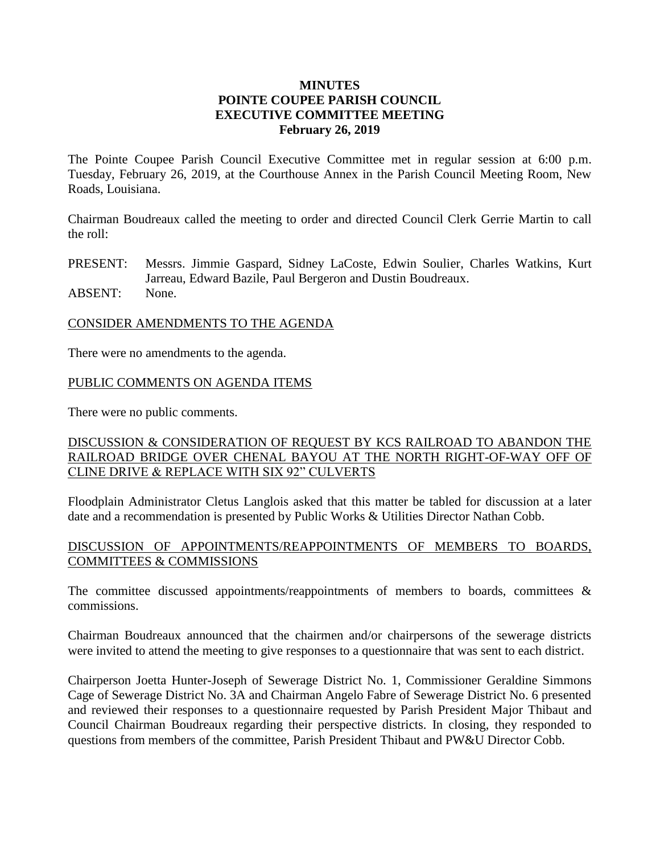#### **MINUTES POINTE COUPEE PARISH COUNCIL EXECUTIVE COMMITTEE MEETING February 26, 2019**

The Pointe Coupee Parish Council Executive Committee met in regular session at 6:00 p.m. Tuesday, February 26, 2019, at the Courthouse Annex in the Parish Council Meeting Room, New Roads, Louisiana.

Chairman Boudreaux called the meeting to order and directed Council Clerk Gerrie Martin to call the roll:

PRESENT: Messrs. Jimmie Gaspard, Sidney LaCoste, Edwin Soulier, Charles Watkins, Kurt Jarreau, Edward Bazile, Paul Bergeron and Dustin Boudreaux.

ABSENT: None.

#### CONSIDER AMENDMENTS TO THE AGENDA

There were no amendments to the agenda.

### PUBLIC COMMENTS ON AGENDA ITEMS

There were no public comments.

### DISCUSSION & CONSIDERATION OF REQUEST BY KCS RAILROAD TO ABANDON THE RAILROAD BRIDGE OVER CHENAL BAYOU AT THE NORTH RIGHT-OF-WAY OFF OF CLINE DRIVE & REPLACE WITH SIX 92" CULVERTS

Floodplain Administrator Cletus Langlois asked that this matter be tabled for discussion at a later date and a recommendation is presented by Public Works & Utilities Director Nathan Cobb.

### DISCUSSION OF APPOINTMENTS/REAPPOINTMENTS OF MEMBERS TO BOARDS, COMMITTEES & COMMISSIONS

The committee discussed appointments/reappointments of members to boards, committees  $\&$ commissions.

Chairman Boudreaux announced that the chairmen and/or chairpersons of the sewerage districts were invited to attend the meeting to give responses to a questionnaire that was sent to each district.

Chairperson Joetta Hunter-Joseph of Sewerage District No. 1, Commissioner Geraldine Simmons Cage of Sewerage District No. 3A and Chairman Angelo Fabre of Sewerage District No. 6 presented and reviewed their responses to a questionnaire requested by Parish President Major Thibaut and Council Chairman Boudreaux regarding their perspective districts. In closing, they responded to questions from members of the committee, Parish President Thibaut and PW&U Director Cobb.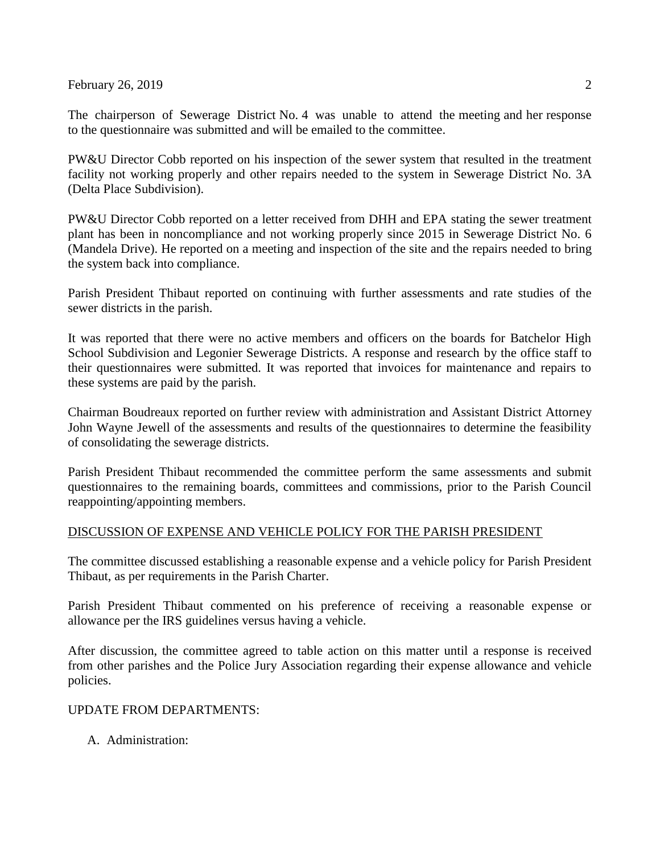February 26, 2019  $\sim$  2

The chairperson of Sewerage District No. 4 was unable to attend the meeting and her response to the questionnaire was submitted and will be emailed to the committee.

PW&U Director Cobb reported on his inspection of the sewer system that resulted in the treatment facility not working properly and other repairs needed to the system in Sewerage District No. 3A (Delta Place Subdivision).

PW&U Director Cobb reported on a letter received from DHH and EPA stating the sewer treatment plant has been in noncompliance and not working properly since 2015 in Sewerage District No. 6 (Mandela Drive). He reported on a meeting and inspection of the site and the repairs needed to bring the system back into compliance.

Parish President Thibaut reported on continuing with further assessments and rate studies of the sewer districts in the parish.

It was reported that there were no active members and officers on the boards for Batchelor High School Subdivision and Legonier Sewerage Districts. A response and research by the office staff to their questionnaires were submitted. It was reported that invoices for maintenance and repairs to these systems are paid by the parish.

Chairman Boudreaux reported on further review with administration and Assistant District Attorney John Wayne Jewell of the assessments and results of the questionnaires to determine the feasibility of consolidating the sewerage districts.

Parish President Thibaut recommended the committee perform the same assessments and submit questionnaires to the remaining boards, committees and commissions, prior to the Parish Council reappointing/appointing members.

# DISCUSSION OF EXPENSE AND VEHICLE POLICY FOR THE PARISH PRESIDENT

The committee discussed establishing a reasonable expense and a vehicle policy for Parish President Thibaut, as per requirements in the Parish Charter.

Parish President Thibaut commented on his preference of receiving a reasonable expense or allowance per the IRS guidelines versus having a vehicle.

After discussion, the committee agreed to table action on this matter until a response is received from other parishes and the Police Jury Association regarding their expense allowance and vehicle policies.

# UPDATE FROM DEPARTMENTS:

A. Administration: